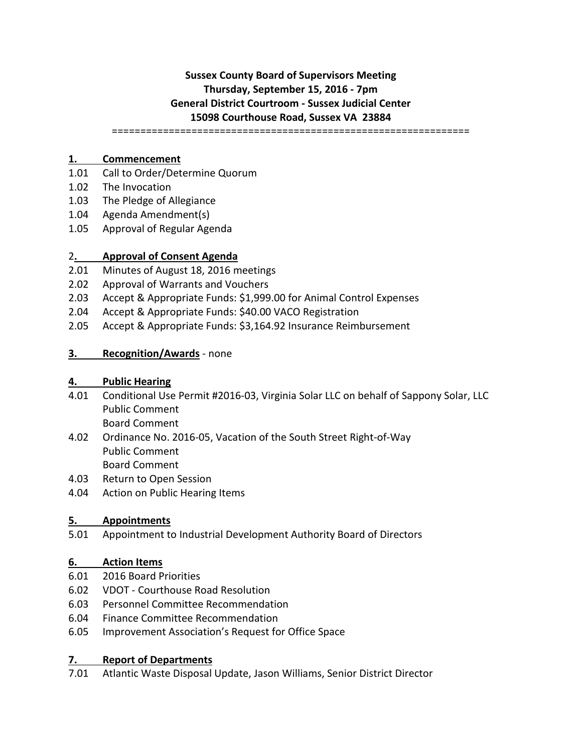# **Sussex County Board of Supervisors Meeting Thursday, September 15, 2016 - 7pm General District Courtroom - Sussex Judicial Center 15098 Courthouse Road, Sussex VA 23884**

===============================================================

### **1. Commencement**

- 1.01 Call to Order/Determine Quorum
- 1.02 The Invocation
- 1.03 The Pledge of Allegiance
- 1.04 Agenda Amendment(s)
- 1.05 Approval of Regular Agenda

### 2**. Approval of Consent Agenda**

- 2.01 Minutes of August 18, 2016 meetings
- 2.02 Approval of Warrants and Vouchers
- 2.03 Accept & Appropriate Funds: \$1,999.00 for Animal Control Expenses
- 2.04 Accept & Appropriate Funds: \$40.00 VACO Registration
- 2.05 Accept & Appropriate Funds: \$3,164.92 Insurance Reimbursement
- **3. Recognition/Awards** none

### **4. Public Hearing**

- 4.01 Conditional Use Permit #2016-03, Virginia Solar LLC on behalf of Sappony Solar, LLC Public Comment Board Comment
- 4.02 Ordinance No. 2016-05, Vacation of the South Street Right-of-Way Public Comment Board Comment
- 4.03 Return to Open Session
- 4.04 Action on Public Hearing Items

#### **5. Appointments**

5.01 Appointment to Industrial Development Authority Board of Directors

## **6. Action Items**

- 6.01 2016 Board Priorities
- 6.02 VDOT Courthouse Road Resolution
- 6.03 Personnel Committee Recommendation
- 6.04 Finance Committee Recommendation
- 6.05 Improvement Association's Request for Office Space

## **7. Report of Departments**

7.01 Atlantic Waste Disposal Update, Jason Williams, Senior District Director